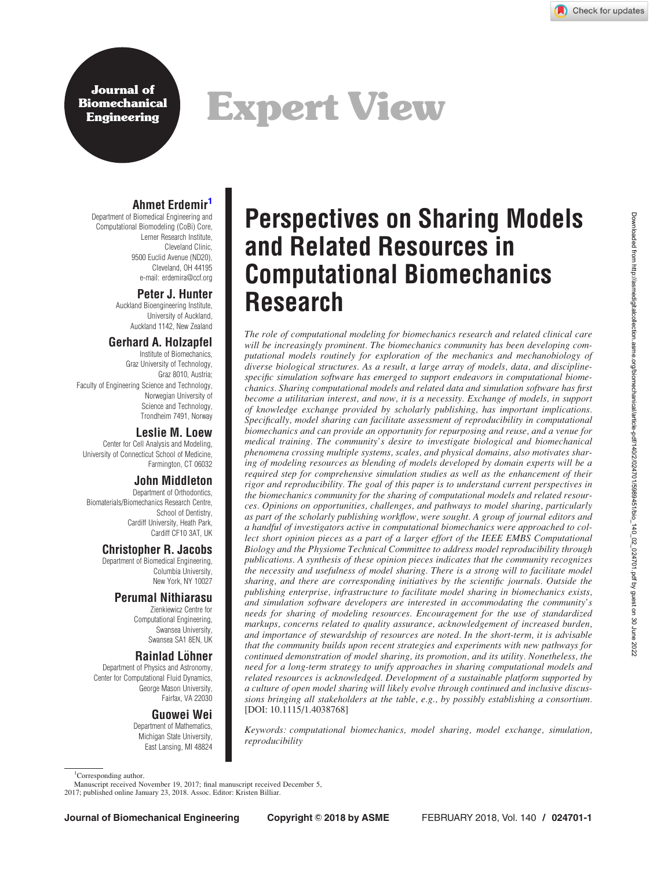Journal of Biomechanical

# Expert View

# Ahmet Erdemir<sup>1</sup>

Department of Biomedical Engineering and Computational Biomodeling (CoBi) Core, Lerner Research Institute, Cleveland Clinic, 9500 Euclid Avenue (ND20), Cleveland, OH 44195 e-mail: erdemira@ccf.org

# Peter J. Hunter

Auckland Bioengineering Institute, University of Auckland, Auckland 1142, New Zealand

### Gerhard A. Holzapfel

Institute of Biomechanics, Graz University of Technology, Graz 8010, Austria; Faculty of Engineering Science and Technology, Norwegian University of Science and Technology, Trondheim 7491, Norway

#### Leslie M. Loew

Center for Cell Analysis and Modeling, University of Connecticut School of Medicine, Farmington, CT 06032

## John Middleton

Department of Orthodontics, Biomaterials/Biomechanics Research Centre, School of Dentistry, Cardiff University, Heath Park, Cardiff CF10 3AT, UK

# Christopher R. Jacobs

Department of Biomedical Engineering, Columbia University, New York, NY 10027

### Perumal Nithiarasu

Zienkiewicz Centre for Computational Engineering, Swansea University, Swansea SA1 8EN, UK

### Rainlad Löhner

Department of Physics and Astronomy, Center for Computational Fluid Dynamics, George Mason University, Fairfax, VA 22030

# Guowei Wei

Department of Mathematics, Michigan State University, East Lansing, MI 48824

# Perspectives on Sharing Models and Related Resources in Computational Biomechanics Research

The role of computational modeling for biomechanics research and related clinical care will be increasingly prominent. The biomechanics community has been developing computational models routinely for exploration of the mechanics and mechanobiology of diverse biological structures. As a result, a large array of models, data, and disciplinespecific simulation software has emerged to support endeavors in computational biomechanics. Sharing computational models and related data and simulation software has first become a utilitarian interest, and now, it is a necessity. Exchange of models, in support of knowledge exchange provided by scholarly publishing, has important implications. Specifically, model sharing can facilitate assessment of reproducibility in computational biomechanics and can provide an opportunity for repurposing and reuse, and a venue for medical training. The community's desire to investigate biological and biomechanical phenomena crossing multiple systems, scales, and physical domains, also motivates sharing of modeling resources as blending of models developed by domain experts will be a required step for comprehensive simulation studies as well as the enhancement of their rigor and reproducibility. The goal of this paper is to understand current perspectives in the biomechanics community for the sharing of computational models and related resources. Opinions on opportunities, challenges, and pathways to model sharing, particularly as part of the scholarly publishing workflow, were sought. A group of journal editors and a handful of investigators active in computational biomechanics were approached to collect short opinion pieces as a part of a larger effort of the IEEE EMBS Computational Biology and the Physiome Technical Committee to address model reproducibility through publications. A synthesis of these opinion pieces indicates that the community recognizes the necessity and usefulness of model sharing. There is a strong will to facilitate model sharing, and there are corresponding initiatives by the scientific journals. Outside the publishing enterprise, infrastructure to facilitate model sharing in biomechanics exists, and simulation software developers are interested in accommodating the community's needs for sharing of modeling resources. Encouragement for the use of standardized markups, concerns related to quality assurance, acknowledgement of increased burden, and importance of stewardship of resources are noted. In the short-term, it is advisable that the community builds upon recent strategies and experiments with new pathways for continued demonstration of model sharing, its promotion, and its utility. Nonetheless, the need for a long-term strategy to unify approaches in sharing computational models and related resources is acknowledged. Development of a sustainable platform supported by a culture of open model sharing will likely evolve through continued and inclusive discussions bringing all stakeholders at the table, e.g., by possibly establishing a consortium. [DOI: 10.1115/1.4038768]

Keywords: computational biomechanics, model sharing, model exchange, simulation, reproducibility

<sup>1</sup>Corresponding author.

Manuscript received November 19, 2017; final manuscript received December 5, 2017; published online January 23, 2018. Assoc. Editor: Kristen Billiar.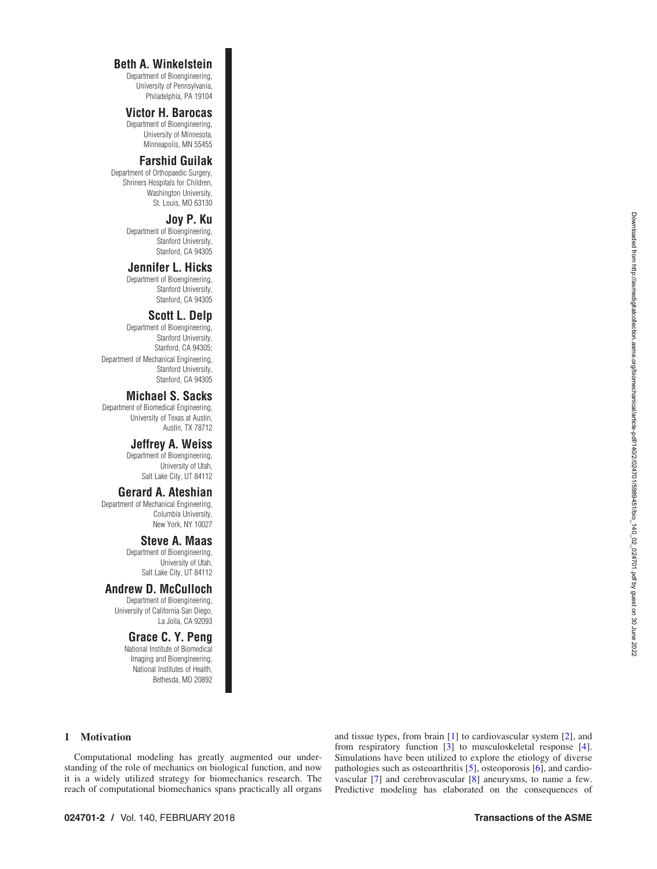# Beth A. Winkelstein

Department of Bioengineering, University of Pennsylvania, Philadelphia, PA 19104

# Victor H. Barocas

Department of Bioengineering, University of Minnesota, Minneapolis, MN 55455

#### Farshid Guilak

Department of Orthopaedic Surgery, Shriners Hospitals for Children, Washington University, St. Louis, MO 63130

#### Joy P. Ku

Department of Bioengineering, Stanford University, Stanford, CA 94305

#### Jennifer L. Hicks

Department of Bioengineering, Stanford University, Stanford, CA 94305

## Scott L. Delp

Department of Bioengineering, Stanford University, Stanford, CA 94305; Department of Mechanical Engineering, Stanford University, Stanford, CA 94305

# Michael S. Sacks

Department of Biomedical Engineering, University of Texas at Austin, Austin, TX 78712

#### Jeffrey A. Weiss

Department of Bioengineering, University of Utah, Salt Lake City, UT 84112

# Gerard A. Ateshian

Department of Mechanical Engineering, Columbia University, New York, NY 10027

# Steve A. Maas

Department of Bioengineering, University of Utah, Salt Lake City, UT 84112

#### Andrew D. McCulloch

Department of Bioengineering, University of California San Diego, La Jolla, CA 92093

# Grace C. Y. Peng

National Institute of Biomedical Imaging and Bioengineering, National Institutes of Health, Bethesda, MD 20892

#### 1 Motivation

Computational modeling has greatly augmented our understanding of the role of mechanics on biological function, and now it is a widely utilized strategy for biomechanics research. The reach of computational biomechanics spans practically all organs

and tissue types, from brain [[1](#page-9-0)] to cardiovascular system [\[2\]](#page-9-0), and from respiratory function [\[3](#page-9-0)] to musculoskeletal response [\[4\]](#page-9-0). Simulations have been utilized to explore the etiology of diverse pathologies such as osteoarthritis [[5](#page-9-0)], osteoporosis [\[6\]](#page-9-0), and cardiovascular [[7](#page-9-0)] and cerebrovascular [[8](#page-9-0)] aneurysms, to name a few. Predictive modeling has elaborated on the consequences of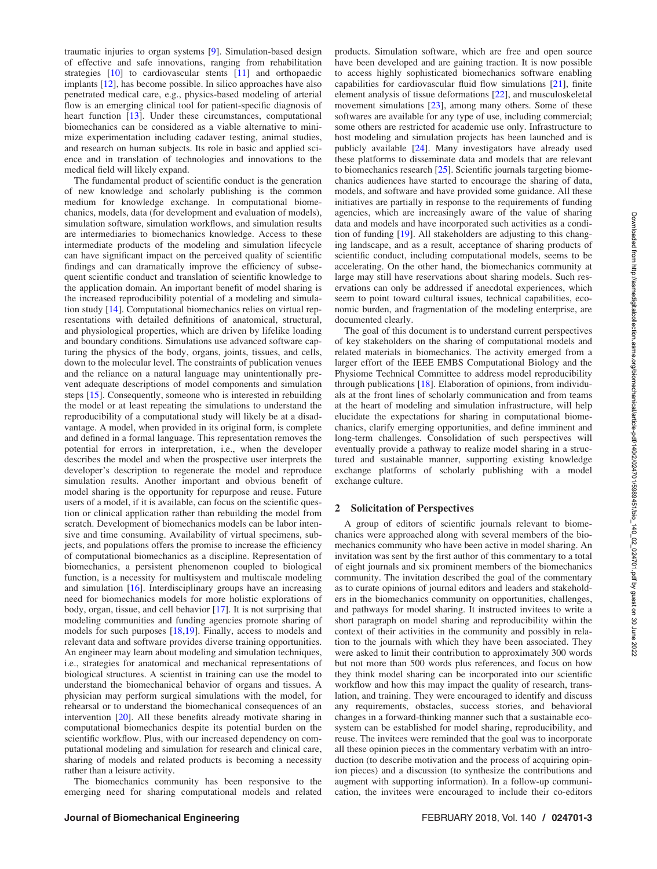traumatic injuries to organ systems [[9](#page-9-0)]. Simulation-based design of effective and safe innovations, ranging from rehabilitation strategies [[10\]](#page-9-0) to cardiovascular stents [[11\]](#page-9-0) and orthopaedic implants [\[12](#page-9-0)], has become possible. In silico approaches have also penetrated medical care, e.g., physics-based modeling of arterial flow is an emerging clinical tool for patient-specific diagnosis of heart function [[13\]](#page-9-0). Under these circumstances, computational biomechanics can be considered as a viable alternative to minimize experimentation including cadaver testing, animal studies, and research on human subjects. Its role in basic and applied science and in translation of technologies and innovations to the medical field will likely expand.

The fundamental product of scientific conduct is the generation of new knowledge and scholarly publishing is the common medium for knowledge exchange. In computational biomechanics, models, data (for development and evaluation of models), simulation software, simulation workflows, and simulation results are intermediaries to biomechanics knowledge. Access to these intermediate products of the modeling and simulation lifecycle can have significant impact on the perceived quality of scientific findings and can dramatically improve the efficiency of subsequent scientific conduct and translation of scientific knowledge to the application domain. An important benefit of model sharing is the increased reproducibility potential of a modeling and simulation study [\[14](#page-9-0)]. Computational biomechanics relies on virtual representations with detailed definitions of anatomical, structural, and physiological properties, which are driven by lifelike loading and boundary conditions. Simulations use advanced software capturing the physics of the body, organs, joints, tissues, and cells, down to the molecular level. The constraints of publication venues and the reliance on a natural language may unintentionally prevent adequate descriptions of model components and simulation steps [[15\]](#page-9-0). Consequently, someone who is interested in rebuilding the model or at least repeating the simulations to understand the reproducibility of a computational study will likely be at a disadvantage. A model, when provided in its original form, is complete and defined in a formal language. This representation removes the potential for errors in interpretation, i.e., when the developer describes the model and when the prospective user interprets the developer's description to regenerate the model and reproduce simulation results. Another important and obvious benefit of model sharing is the opportunity for repurpose and reuse. Future users of a model, if it is available, can focus on the scientific question or clinical application rather than rebuilding the model from scratch. Development of biomechanics models can be labor intensive and time consuming. Availability of virtual specimens, subjects, and populations offers the promise to increase the efficiency of computational biomechanics as a discipline. Representation of biomechanics, a persistent phenomenon coupled to biological function, is a necessity for multisystem and multiscale modeling and simulation [\[16](#page-9-0)]. Interdisciplinary groups have an increasing need for biomechanics models for more holistic explorations of body, organ, tissue, and cell behavior [\[17\]](#page-9-0). It is not surprising that modeling communities and funding agencies promote sharing of models for such purposes [\[18,19](#page-9-0)]. Finally, access to models and relevant data and software provides diverse training opportunities. An engineer may learn about modeling and simulation techniques, i.e., strategies for anatomical and mechanical representations of biological structures. A scientist in training can use the model to understand the biomechanical behavior of organs and tissues. A physician may perform surgical simulations with the model, for rehearsal or to understand the biomechanical consequences of an intervention [\[20](#page-9-0)]. All these benefits already motivate sharing in computational biomechanics despite its potential burden on the scientific workflow. Plus, with our increased dependency on computational modeling and simulation for research and clinical care, sharing of models and related products is becoming a necessity rather than a leisure activity.

The biomechanics community has been responsive to the emerging need for sharing computational models and related products. Simulation software, which are free and open source have been developed and are gaining traction. It is now possible to access highly sophisticated biomechanics software enabling capabilities for cardiovascular fluid flow simulations [[21\]](#page-9-0), finite element analysis of tissue deformations [\[22](#page-9-0)], and musculoskeletal movement simulations [[23\]](#page-9-0), among many others. Some of these softwares are available for any type of use, including commercial; some others are restricted for academic use only. Infrastructure to host modeling and simulation projects has been launched and is publicly available [[24\]](#page-9-0). Many investigators have already used these platforms to disseminate data and models that are relevant to biomechanics research [\[25](#page-9-0)]. Scientific journals targeting biomechanics audiences have started to encourage the sharing of data, models, and software and have provided some guidance. All these initiatives are partially in response to the requirements of funding agencies, which are increasingly aware of the value of sharing data and models and have incorporated such activities as a condition of funding [[19\]](#page-9-0). All stakeholders are adjusting to this changing landscape, and as a result, acceptance of sharing products of scientific conduct, including computational models, seems to be accelerating. On the other hand, the biomechanics community at large may still have reservations about sharing models. Such reservations can only be addressed if anecdotal experiences, which seem to point toward cultural issues, technical capabilities, economic burden, and fragmentation of the modeling enterprise, are documented clearly.

The goal of this document is to understand current perspectives of key stakeholders on the sharing of computational models and related materials in biomechanics. The activity emerged from a larger effort of the IEEE EMBS Computational Biology and the Physiome Technical Committee to address model reproducibility through publications [\[18\]](#page-9-0). Elaboration of opinions, from individuals at the front lines of scholarly communication and from teams at the heart of modeling and simulation infrastructure, will help elucidate the expectations for sharing in computational biomechanics, clarify emerging opportunities, and define imminent and long-term challenges. Consolidation of such perspectives will eventually provide a pathway to realize model sharing in a structured and sustainable manner, supporting existing knowledge exchange platforms of scholarly publishing with a model exchange culture.

#### 2 Solicitation of Perspectives

A group of editors of scientific journals relevant to biomechanics were approached along with several members of the biomechanics community who have been active in model sharing. An invitation was sent by the first author of this commentary to a total of eight journals and six prominent members of the biomechanics community. The invitation described the goal of the commentary as to curate opinions of journal editors and leaders and stakeholders in the biomechanics community on opportunities, challenges, and pathways for model sharing. It instructed invitees to write a short paragraph on model sharing and reproducibility within the context of their activities in the community and possibly in relation to the journals with which they have been associated. They were asked to limit their contribution to approximately 300 words but not more than 500 words plus references, and focus on how they think model sharing can be incorporated into our scientific workflow and how this may impact the quality of research, translation, and training. They were encouraged to identify and discuss any requirements, obstacles, success stories, and behavioral changes in a forward-thinking manner such that a sustainable ecosystem can be established for model sharing, reproducibility, and reuse. The invitees were reminded that the goal was to incorporate all these opinion pieces in the commentary verbatim with an introduction (to describe motivation and the process of acquiring opinion pieces) and a discussion (to synthesize the contributions and augment with supporting information). In a follow-up communication, the invitees were encouraged to include their co-editors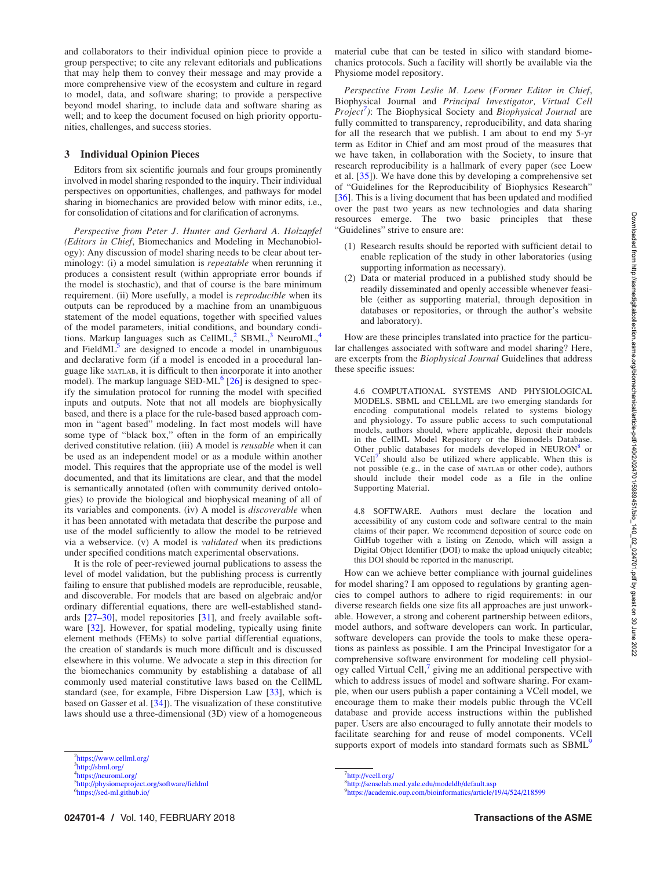and collaborators to their individual opinion piece to provide a group perspective; to cite any relevant editorials and publications that may help them to convey their message and may provide a more comprehensive view of the ecosystem and culture in regard to model, data, and software sharing; to provide a perspective beyond model sharing, to include data and software sharing as well; and to keep the document focused on high priority opportunities, challenges, and success stories.

#### 3 Individual Opinion Pieces

Editors from six scientific journals and four groups prominently involved in model sharing responded to the inquiry. Their individual perspectives on opportunities, challenges, and pathways for model sharing in biomechanics are provided below with minor edits, i.e., for consolidation of citations and for clarification of acronyms.

Perspective from Peter J. Hunter and Gerhard A. Holzapfel (Editors in Chief, Biomechanics and Modeling in Mechanobiology): Any discussion of model sharing needs to be clear about terminology: (i) a model simulation is repeatable when rerunning it produces a consistent result (within appropriate error bounds if the model is stochastic), and that of course is the bare minimum requirement. (ii) More usefully, a model is reproducible when its outputs can be reproduced by a machine from an unambiguous statement of the model equations, together with specified values of the model parameters, initial conditions, and boundary conditions. Markup languages such as CellML, $^2$  SBML, $^3$  NeuroML, $^4$ and Field $ML^5$  are designed to encode a model in unambiguous and declarative form (if a model is encoded in a procedural language like MATLAB, it is difficult to then incorporate it into another model). The markup language SED-ML<sup>6</sup> [\[26](#page-9-0)] is designed to specify the simulation protocol for running the model with specified inputs and outputs. Note that not all models are biophysically based, and there is a place for the rule-based based approach common in "agent based" modeling. In fact most models will have some type of "black box," often in the form of an empirically derived constitutive relation. (iii) A model is reusable when it can be used as an independent model or as a module within another model. This requires that the appropriate use of the model is well documented, and that its limitations are clear, and that the model is semantically annotated (often with community derived ontologies) to provide the biological and biophysical meaning of all of its variables and components. (iv) A model is discoverable when it has been annotated with metadata that describe the purpose and use of the model sufficiently to allow the model to be retrieved via a webservice. (v) A model is validated when its predictions under specified conditions match experimental observations.

It is the role of peer-reviewed journal publications to assess the level of model validation, but the publishing process is currently failing to ensure that published models are reproducible, reusable, and discoverable. For models that are based on algebraic and/or ordinary differential equations, there are well-established standards [[27–](#page-9-0)[30](#page-10-0)], model repositories [[31\]](#page-10-0), and freely available soft-ware [\[32](#page-10-0)]. However, for spatial modeling, typically using finite element methods (FEMs) to solve partial differential equations, the creation of standards is much more difficult and is discussed elsewhere in this volume. We advocate a step in this direction for the biomechanics community by establishing a database of all commonly used material constitutive laws based on the CellML standard (see, for example, Fibre Dispersion Law [\[33](#page-10-0)], which is based on Gasser et al. [\[34](#page-10-0)]). The visualization of these constitutive laws should use a three-dimensional (3D) view of a homogeneous

5 <http://physiomeproject.org/software/fieldml> 6 <https://sed-ml.github.io/>

material cube that can be tested in silico with standard biomechanics protocols. Such a facility will shortly be available via the Physiome model repository.

Perspective From Leslie M. Loew (Former Editor in Chief, Biophysical Journal and Principal Investigator, Virtual Cell  $Project^7$ ): The Biophysical Society and Biophysical Journal are fully committed to transparency, reproducibility, and data sharing for all the research that we publish. I am about to end my 5-yr term as Editor in Chief and am most proud of the measures that we have taken, in collaboration with the Society, to insure that research reproducibility is a hallmark of every paper (see Loew et al. [\[35](#page-10-0)]). We have done this by developing a comprehensive set of "Guidelines for the Reproducibility of Biophysics Research" [[36](#page-10-0)]. This is a living document that has been updated and modified over the past two years as new technologies and data sharing resources emerge. The two basic principles that these "Guidelines" strive to ensure are:

- (1) Research results should be reported with sufficient detail to enable replication of the study in other laboratories (using supporting information as necessary).
- (2) Data or material produced in a published study should be readily disseminated and openly accessible whenever feasible (either as supporting material, through deposition in databases or repositories, or through the author's website and laboratory).

How are these principles translated into practice for the particular challenges associated with software and model sharing? Here, are excerpts from the Biophysical Journal Guidelines that address these specific issues:

4.6 COMPUTATIONAL SYSTEMS AND PHYSIOLOGICAL MODELS. SBML and CELLML are two emerging standards for encoding computational models related to systems biology and physiology. To assure public access to such computational models, authors should, where applicable, deposit their models in the CellML Model Repository or the Biomodels Database. Other public databases for models developed in  $NEURON<sup>8</sup>$  or  $VCell<sup>7</sup>$  should also be utilized where applicable. When this is not possible (e.g., in the case of MATLAB or other code), authors should include their model code as a file in the online Supporting Material.

4.8 SOFTWARE. Authors must declare the location and accessibility of any custom code and software central to the main claims of their paper. We recommend deposition of source code on GitHub together with a listing on Zenodo, which will assign a Digital Object Identifier (DOI) to make the upload uniquely citeable; this DOI should be reported in the manuscript.

How can we achieve better compliance with journal guidelines for model sharing? I am opposed to regulations by granting agencies to compel authors to adhere to rigid requirements: in our diverse research fields one size fits all approaches are just unworkable. However, a strong and coherent partnership between editors, model authors, and software developers can work. In particular, software developers can provide the tools to make these operations as painless as possible. I am the Principal Investigator for a comprehensive software environment for modeling cell physiology called Virtual Cell, $\frac{7}{2}$  giving me an additional perspective with which to address issues of model and software sharing. For example, when our users publish a paper containing a VCell model, we encourage them to make their models public through the VCell database and provide access instructions within the published paper. Users are also encouraged to fully annotate their models to facilitate searching for and reuse of model components. VCell supports export of models into standard formats such as SBML<sup>9</sup>

8 <http://senselab.med.yale.edu/modeldb/default.asp> 9 <https://academic.oup.com/bioinformatics/article/19/4/524/218599>

<sup>&</sup>lt;sup>2</sup><https://www.cellml.org/>

<sup>3</sup> <http://sbml.org/>

<sup>4</sup> <https://neuroml.org/>

<sup>7</sup> <http://vcell.org/>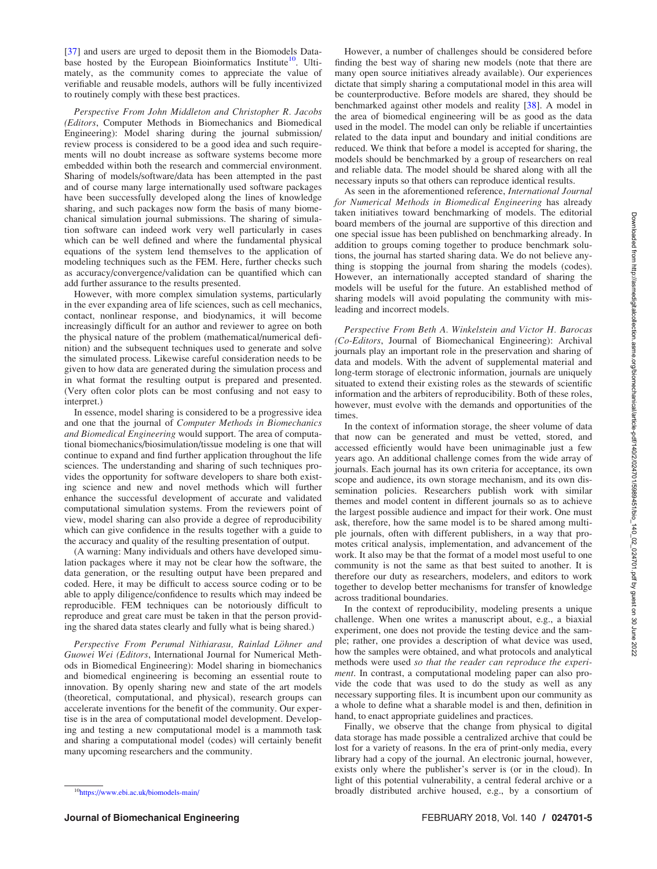[[37](#page-10-0)] and users are urged to deposit them in the Biomodels Database hosted by the European Bioinformatics Institute<sup>10</sup>. Ultimately, as the community comes to appreciate the value of verifiable and reusable models, authors will be fully incentivized to routinely comply with these best practices.

Perspective From John Middleton and Christopher R. Jacobs (Editors, Computer Methods in Biomechanics and Biomedical Engineering): Model sharing during the journal submission/ review process is considered to be a good idea and such requirements will no doubt increase as software systems become more embedded within both the research and commercial environment. Sharing of models/software/data has been attempted in the past and of course many large internationally used software packages have been successfully developed along the lines of knowledge sharing, and such packages now form the basis of many biomechanical simulation journal submissions. The sharing of simulation software can indeed work very well particularly in cases which can be well defined and where the fundamental physical equations of the system lend themselves to the application of modeling techniques such as the FEM. Here, further checks such as accuracy/convergence/validation can be quantified which can add further assurance to the results presented.

However, with more complex simulation systems, particularly in the ever expanding area of life sciences, such as cell mechanics, contact, nonlinear response, and biodynamics, it will become increasingly difficult for an author and reviewer to agree on both the physical nature of the problem (mathematical/numerical definition) and the subsequent techniques used to generate and solve the simulated process. Likewise careful consideration needs to be given to how data are generated during the simulation process and in what format the resulting output is prepared and presented. (Very often color plots can be most confusing and not easy to interpret.)

In essence, model sharing is considered to be a progressive idea and one that the journal of Computer Methods in Biomechanics and Biomedical Engineering would support. The area of computational biomechanics/biosimulation/tissue modeling is one that will continue to expand and find further application throughout the life sciences. The understanding and sharing of such techniques provides the opportunity for software developers to share both existing science and new and novel methods which will further enhance the successful development of accurate and validated computational simulation systems. From the reviewers point of view, model sharing can also provide a degree of reproducibility which can give confidence in the results together with a guide to the accuracy and quality of the resulting presentation of output.

(A warning: Many individuals and others have developed simulation packages where it may not be clear how the software, the data generation, or the resulting output have been prepared and coded. Here, it may be difficult to access source coding or to be able to apply diligence/confidence to results which may indeed be reproducible. FEM techniques can be notoriously difficult to reproduce and great care must be taken in that the person providing the shared data states clearly and fully what is being shared.)

Perspective From Perumal Nithiarasu, Rainlad Löhner and Guowei Wei (Editors, International Journal for Numerical Methods in Biomedical Engineering): Model sharing in biomechanics and biomedical engineering is becoming an essential route to innovation. By openly sharing new and state of the art models (theoretical, computational, and physical), research groups can accelerate inventions for the benefit of the community. Our expertise is in the area of computational model development. Developing and testing a new computational model is a mammoth task and sharing a computational model (codes) will certainly benefit many upcoming researchers and the community.

However, a number of challenges should be considered before finding the best way of sharing new models (note that there are many open source initiatives already available). Our experiences dictate that simply sharing a computational model in this area will be counterproductive. Before models are shared, they should be benchmarked against other models and reality [\[38](#page-10-0)]. A model in the area of biomedical engineering will be as good as the data used in the model. The model can only be reliable if uncertainties related to the data input and boundary and initial conditions are reduced. We think that before a model is accepted for sharing, the models should be benchmarked by a group of researchers on real and reliable data. The model should be shared along with all the necessary inputs so that others can reproduce identical results.

As seen in the aforementioned reference, International Journal for Numerical Methods in Biomedical Engineering has already taken initiatives toward benchmarking of models. The editorial board members of the journal are supportive of this direction and one special issue has been published on benchmarking already. In addition to groups coming together to produce benchmark solutions, the journal has started sharing data. We do not believe anything is stopping the journal from sharing the models (codes). However, an internationally accepted standard of sharing the models will be useful for the future. An established method of sharing models will avoid populating the community with misleading and incorrect models.

Perspective From Beth A. Winkelstein and Victor H. Barocas (Co-Editors, Journal of Biomechanical Engineering): Archival journals play an important role in the preservation and sharing of data and models. With the advent of supplemental material and long-term storage of electronic information, journals are uniquely situated to extend their existing roles as the stewards of scientific information and the arbiters of reproducibility. Both of these roles, however, must evolve with the demands and opportunities of the times.

In the context of information storage, the sheer volume of data that now can be generated and must be vetted, stored, and accessed efficiently would have been unimaginable just a few years ago. An additional challenge comes from the wide array of journals. Each journal has its own criteria for acceptance, its own scope and audience, its own storage mechanism, and its own dissemination policies. Researchers publish work with similar themes and model content in different journals so as to achieve the largest possible audience and impact for their work. One must ask, therefore, how the same model is to be shared among multiple journals, often with different publishers, in a way that promotes critical analysis, implementation, and advancement of the work. It also may be that the format of a model most useful to one community is not the same as that best suited to another. It is therefore our duty as researchers, modelers, and editors to work together to develop better mechanisms for transfer of knowledge across traditional boundaries.

In the context of reproducibility, modeling presents a unique challenge. When one writes a manuscript about, e.g., a biaxial experiment, one does not provide the testing device and the sample; rather, one provides a description of what device was used, how the samples were obtained, and what protocols and analytical methods were used so that the reader can reproduce the experiment. In contrast, a computational modeling paper can also provide the code that was used to do the study as well as any necessary supporting files. It is incumbent upon our community as a whole to define what a sharable model is and then, definition in hand, to enact appropriate guidelines and practices.

Finally, we observe that the change from physical to digital data storage has made possible a centralized archive that could be lost for a variety of reasons. In the era of print-only media, every library had a copy of the journal. An electronic journal, however, exists only where the publisher's server is (or in the cloud). In light of this potential vulnerability, a central federal archive or a <sup>10</sup>https://www.ebi.ac.uk/biomodels-main/ **1[0https://www.ebi.ac.uk/biomodels-main/](https://www.ebi.ac.uk/biomodels-main/) 10https://www.ebi.ac.uk/biomodels-main/**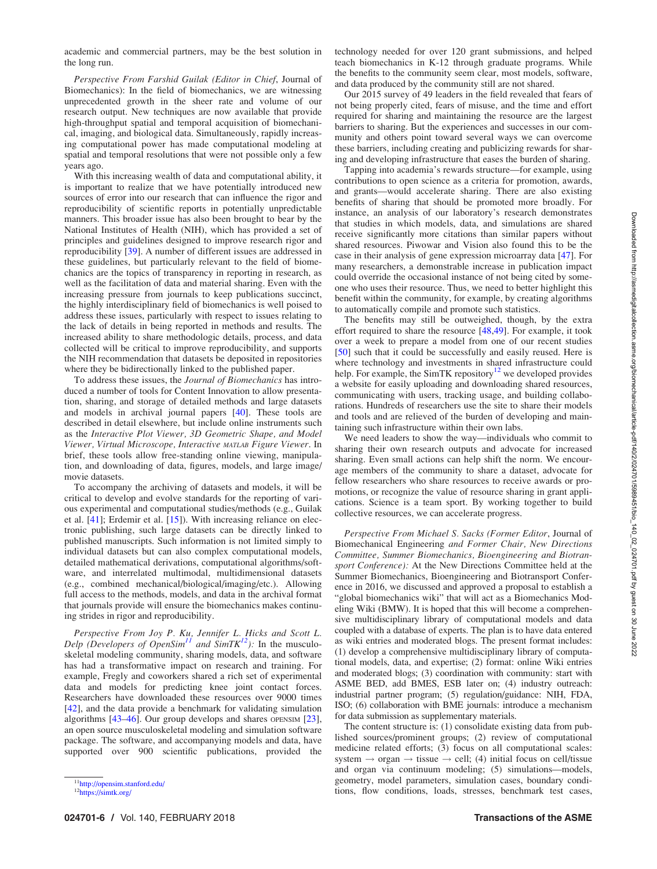<span id="page-5-0"></span>academic and commercial partners, may be the best solution in the long run.

Perspective From Farshid Guilak (Editor in Chief, Journal of Biomechanics): In the field of biomechanics, we are witnessing unprecedented growth in the sheer rate and volume of our research output. New techniques are now available that provide high-throughput spatial and temporal acquisition of biomechanical, imaging, and biological data. Simultaneously, rapidly increasing computational power has made computational modeling at spatial and temporal resolutions that were not possible only a few years ago.

With this increasing wealth of data and computational ability, it is important to realize that we have potentially introduced new sources of error into our research that can influence the rigor and reproducibility of scientific reports in potentially unpredictable manners. This broader issue has also been brought to bear by the National Institutes of Health (NIH), which has provided a set of principles and guidelines designed to improve research rigor and reproducibility [\[39](#page-10-0)]. A number of different issues are addressed in these guidelines, but particularly relevant to the field of biomechanics are the topics of transparency in reporting in research, as well as the facilitation of data and material sharing. Even with the increasing pressure from journals to keep publications succinct, the highly interdisciplinary field of biomechanics is well poised to address these issues, particularly with respect to issues relating to the lack of details in being reported in methods and results. The increased ability to share methodologic details, process, and data collected will be critical to improve reproducibility, and supports the NIH recommendation that datasets be deposited in repositories where they be bidirectionally linked to the published paper.

To address these issues, the Journal of Biomechanics has introduced a number of tools for Content Innovation to allow presentation, sharing, and storage of detailed methods and large datasets and models in archival journal papers [[40\]](#page-10-0). These tools are described in detail elsewhere, but include online instruments such as the Interactive Plot Viewer, 3D Geometric Shape, and Model Viewer, Virtual Microscope, Interactive MATLAB Figure Viewer. In brief, these tools allow free-standing online viewing, manipulation, and downloading of data, figures, models, and large image/ movie datasets.

To accompany the archiving of datasets and models, it will be critical to develop and evolve standards for the reporting of various experimental and computational studies/methods (e.g., Guilak et al. [\[41](#page-10-0)]; Erdemir et al. [[15](#page-9-0)]). With increasing reliance on electronic publishing, such large datasets can be directly linked to published manuscripts. Such information is not limited simply to individual datasets but can also complex computational models, detailed mathematical derivations, computational algorithms/software, and interrelated multimodal, multidimensional datasets (e.g., combined mechanical/biological/imaging/etc.). Allowing full access to the methods, models, and data in the archival format that journals provide will ensure the biomechanics makes continuing strides in rigor and reproducibility.

Perspective From Joy P. Ku, Jennifer L. Hicks and Scott L. Delp (Developers of OpenSim<sup>11</sup> and SimTK<sup>12</sup>): In the musculoskeletal modeling community, sharing models, data, and software has had a transformative impact on research and training. For example, Fregly and coworkers shared a rich set of experimental data and models for predicting knee joint contact forces. Researchers have downloaded these resources over 9000 times [[42](#page-10-0)], and the data provide a benchmark for validating simulation algorithms [[43–46\]](#page-10-0). Our group develops and shares OPENSIM [[23\]](#page-9-0), an open source musculoskeletal modeling and simulation software package. The software, and accompanying models and data, have supported over 900 scientific publications, provided the

technology needed for over 120 grant submissions, and helped teach biomechanics in K-12 through graduate programs. While the benefits to the community seem clear, most models, software, and data produced by the community still are not shared.

Our 2015 survey of 49 leaders in the field revealed that fears of not being properly cited, fears of misuse, and the time and effort required for sharing and maintaining the resource are the largest barriers to sharing. But the experiences and successes in our community and others point toward several ways we can overcome these barriers, including creating and publicizing rewards for sharing and developing infrastructure that eases the burden of sharing.

Tapping into academia's rewards structure—for example, using contributions to open science as a criteria for promotion, awards, and grants—would accelerate sharing. There are also existing benefits of sharing that should be promoted more broadly. For instance, an analysis of our laboratory's research demonstrates that studies in which models, data, and simulations are shared receive significantly more citations than similar papers without shared resources. Piwowar and Vision also found this to be the case in their analysis of gene expression microarray data [[47\]](#page-10-0). For many researchers, a demonstrable increase in publication impact could override the occasional instance of not being cited by someone who uses their resource. Thus, we need to better highlight this benefit within the community, for example, by creating algorithms to automatically compile and promote such statistics.

The benefits may still be outweighed, though, by the extra effort required to share the resource [\[48,49](#page-10-0)]. For example, it took over a week to prepare a model from one of our recent studies [[50](#page-10-0)] such that it could be successfully and easily reused. Here is where technology and investments in shared infrastructure could help. For example, the SimTK repository<sup>12</sup> we developed provides a website for easily uploading and downloading shared resources, communicating with users, tracking usage, and building collaborations. Hundreds of researchers use the site to share their models and tools and are relieved of the burden of developing and maintaining such infrastructure within their own labs.

We need leaders to show the way—individuals who commit to sharing their own research outputs and advocate for increased sharing. Even small actions can help shift the norm. We encourage members of the community to share a dataset, advocate for fellow researchers who share resources to receive awards or promotions, or recognize the value of resource sharing in grant applications. Science is a team sport. By working together to build collective resources, we can accelerate progress.

Perspective From Michael S. Sacks (Former Editor, Journal of Biomechanical Engineering and Former Chair, New Directions Committee, Summer Biomechanics, Bioengineering and Biotransport Conference): At the New Directions Committee held at the Summer Biomechanics, Bioengineering and Biotransport Conference in 2016, we discussed and approved a proposal to establish a "global biomechanics wiki" that will act as a Biomechanics Modeling Wiki (BMW). It is hoped that this will become a comprehensive multidisciplinary library of computational models and data coupled with a database of experts. The plan is to have data entered as wiki entries and moderated blogs. The present format includes: (1) develop a comprehensive multidisciplinary library of computational models, data, and expertise; (2) format: online Wiki entries and moderated blogs; (3) coordination with community: start with ASME BED, add BMES, ESB later on; (4) industry outreach: industrial partner program; (5) regulation/guidance: NIH, FDA, ISO; (6) collaboration with BME journals: introduce a mechanism for data submission as supplementary materials.

The content structure is: (1) consolidate existing data from published sources/prominent groups; (2) review of computational medicine related efforts; (3) focus on all computational scales: system  $\rightarrow$  organ  $\rightarrow$  tissue  $\rightarrow$  cell; (4) initial focus on cell/tissue and organ via continuum modeling; (5) simulations—models, geometry, model parameters, simulation cases, boundary conditions, flow conditions, loads, stresses, benchmark test cases,

 $11$ http://opensim.stanford.edu/<br> $12$ https://simtk.org/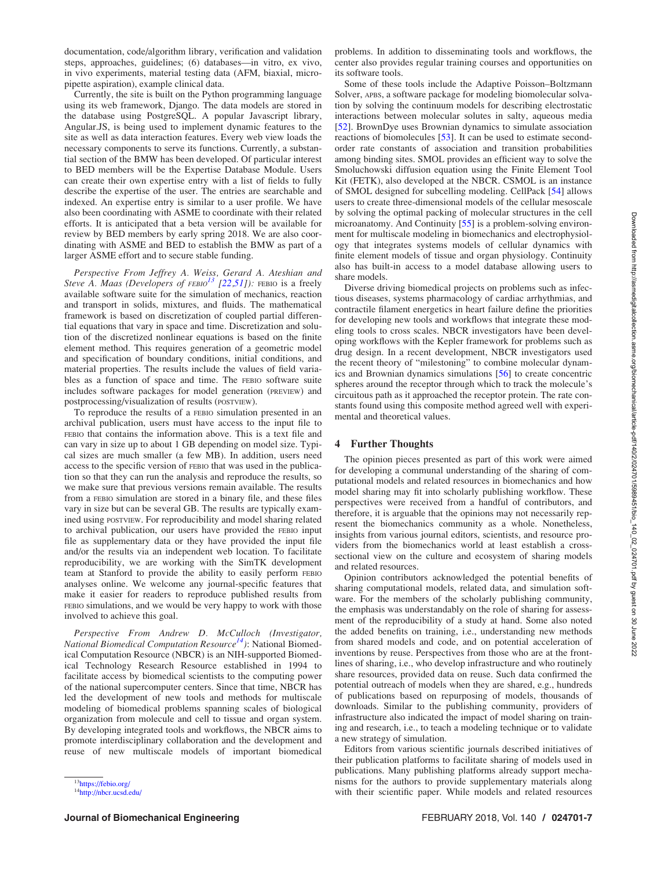<span id="page-6-0"></span>documentation, code/algorithm library, verification and validation steps, approaches, guidelines; (6) databases—in vitro, ex vivo, in vivo experiments, material testing data (AFM, biaxial, micropipette aspiration), example clinical data.

Currently, the site is built on the Python programming language using its web framework, Django. The data models are stored in the database using PostgreSQL. A popular Javascript library, Angular.JS, is being used to implement dynamic features to the site as well as data interaction features. Every web view loads the necessary components to serve its functions. Currently, a substantial section of the BMW has been developed. Of particular interest to BED members will be the Expertise Database Module. Users can create their own expertise entry with a list of fields to fully describe the expertise of the user. The entries are searchable and indexed. An expertise entry is similar to a user profile. We have also been coordinating with ASME to coordinate with their related efforts. It is anticipated that a beta version will be available for review by BED members by early spring 2018. We are also coordinating with ASME and BED to establish the BMW as part of a larger ASME effort and to secure stable funding.

Perspective From Jeffrey A. Weiss, Gerard A. Ateshian and Steve A. Maas (Developers of FEBIO<sup>13</sup> [\[22](#page-9-0)[,51](#page-10-0)]): FEBIO is a freely available software suite for the simulation of mechanics, reaction and transport in solids, mixtures, and fluids. The mathematical framework is based on discretization of coupled partial differential equations that vary in space and time. Discretization and solution of the discretized nonlinear equations is based on the finite element method. This requires generation of a geometric model and specification of boundary conditions, initial conditions, and material properties. The results include the values of field variables as a function of space and time. The FEBIO software suite includes software packages for model generation (PREVIEW) and postprocessing/visualization of results (POSTVIEW).

To reproduce the results of a FEBIO simulation presented in an archival publication, users must have access to the input file to FEBIO that contains the information above. This is a text file and can vary in size up to about 1 GB depending on model size. Typical sizes are much smaller (a few MB). In addition, users need access to the specific version of FEBIO that was used in the publication so that they can run the analysis and reproduce the results, so we make sure that previous versions remain available. The results from a FEBIO simulation are stored in a binary file, and these files vary in size but can be several GB. The results are typically examined using POSTVIEW. For reproducibility and model sharing related to archival publication, our users have provided the FEBIO input file as supplementary data or they have provided the input file and/or the results via an independent web location. To facilitate reproducibility, we are working with the SimTK development team at Stanford to provide the ability to easily perform FEBIO analyses online. We welcome any journal-specific features that make it easier for readers to reproduce published results from FEBIO simulations, and we would be very happy to work with those involved to achieve this goal.

Perspective From Andrew D. McCulloch (Investigator, National Biomedical Computation Resource<sup>14</sup>): National Biomedical Computation Resource (NBCR) is an NIH-supported Biomedical Technology Research Resource established in 1994 to facilitate access by biomedical scientists to the computing power of the national supercomputer centers. Since that time, NBCR has led the development of new tools and methods for multiscale modeling of biomedical problems spanning scales of biological organization from molecule and cell to tissue and organ system. By developing integrated tools and workflows, the NBCR aims to promote interdisciplinary collaboration and the development and reuse of new multiscale models of important biomedical

problems. In addition to disseminating tools and workflows, the center also provides regular training courses and opportunities on its software tools.

Some of these tools include the Adaptive Poisson–Boltzmann Solver, APBS, a software package for modeling biomolecular solvation by solving the continuum models for describing electrostatic interactions between molecular solutes in salty, aqueous media [[52](#page-10-0)]. BrownDye uses Brownian dynamics to simulate association reactions of biomolecules [\[53](#page-10-0)]. It can be used to estimate secondorder rate constants of association and transition probabilities among binding sites. SMOL provides an efficient way to solve the Smoluchowski diffusion equation using the Finite Element Tool Kit (FETK), also developed at the NBCR. CSMOL is an instance of SMOL designed for subcelling modeling. CellPack [[54\]](#page-10-0) allows users to create three-dimensional models of the cellular mesoscale by solving the optimal packing of molecular structures in the cell microanatomy. And Continuity [\[55](#page-10-0)] is a problem-solving environment for multiscale modeling in biomechanics and electrophysiology that integrates systems models of cellular dynamics with finite element models of tissue and organ physiology. Continuity also has built-in access to a model database allowing users to share models.

Diverse driving biomedical projects on problems such as infectious diseases, systems pharmacology of cardiac arrhythmias, and contractile filament energetics in heart failure define the priorities for developing new tools and workflows that integrate these modeling tools to cross scales. NBCR investigators have been developing workflows with the Kepler framework for problems such as drug design. In a recent development, NBCR investigators used the recent theory of "milestoning" to combine molecular dynamics and Brownian dynamics simulations [[56\]](#page-10-0) to create concentric spheres around the receptor through which to track the molecule's circuitous path as it approached the receptor protein. The rate constants found using this composite method agreed well with experimental and theoretical values.

#### 4 Further Thoughts

The opinion pieces presented as part of this work were aimed for developing a communal understanding of the sharing of computational models and related resources in biomechanics and how model sharing may fit into scholarly publishing workflow. These perspectives were received from a handful of contributors, and therefore, it is arguable that the opinions may not necessarily represent the biomechanics community as a whole. Nonetheless, insights from various journal editors, scientists, and resource providers from the biomechanics world at least establish a crosssectional view on the culture and ecosystem of sharing models and related resources.

Opinion contributors acknowledged the potential benefits of sharing computational models, related data, and simulation software. For the members of the scholarly publishing community, the emphasis was understandably on the role of sharing for assessment of the reproducibility of a study at hand. Some also noted the added benefits on training, i.e., understanding new methods from shared models and code, and on potential acceleration of inventions by reuse. Perspectives from those who are at the frontlines of sharing, i.e., who develop infrastructure and who routinely share resources, provided data on reuse. Such data confirmed the potential outreach of models when they are shared, e.g., hundreds of publications based on repurposing of models, thousands of downloads. Similar to the publishing community, providers of infrastructure also indicated the impact of model sharing on training and research, i.e., to teach a modeling technique or to validate a new strategy of simulation.

Editors from various scientific journals described initiatives of their publication platforms to facilitate sharing of models used in publications. Many publishing platforms already support mechanisms for the authors to provide supplementary materials along with their scientific paper. While models and related resources

 $13$ https://febio.org/<br> $14$ http://nbcr.ucsd.edu/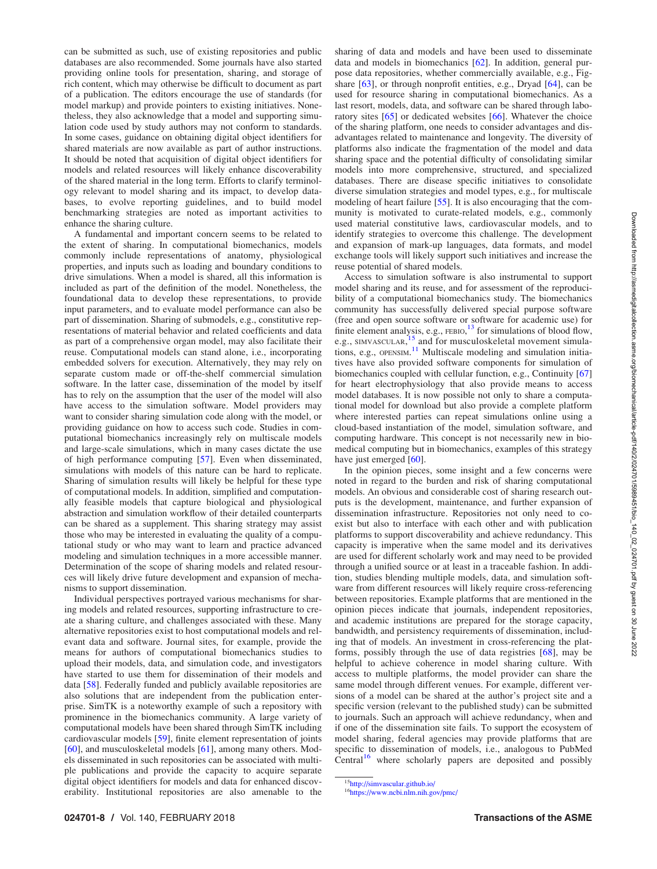can be submitted as such, use of existing repositories and public databases are also recommended. Some journals have also started providing online tools for presentation, sharing, and storage of rich content, which may otherwise be difficult to document as part of a publication. The editors encourage the use of standards (for model markup) and provide pointers to existing initiatives. Nonetheless, they also acknowledge that a model and supporting simulation code used by study authors may not conform to standards. In some cases, guidance on obtaining digital object identifiers for shared materials are now available as part of author instructions. It should be noted that acquisition of digital object identifiers for models and related resources will likely enhance discoverability of the shared material in the long term. Efforts to clarify terminology relevant to model sharing and its impact, to develop databases, to evolve reporting guidelines, and to build model benchmarking strategies are noted as important activities to enhance the sharing culture.

A fundamental and important concern seems to be related to the extent of sharing. In computational biomechanics, models commonly include representations of anatomy, physiological properties, and inputs such as loading and boundary conditions to drive simulations. When a model is shared, all this information is included as part of the definition of the model. Nonetheless, the foundational data to develop these representations, to provide input parameters, and to evaluate model performance can also be part of dissemination. Sharing of submodels, e.g., constitutive representations of material behavior and related coefficients and data as part of a comprehensive organ model, may also facilitate their reuse. Computational models can stand alone, i.e., incorporating embedded solvers for execution. Alternatively, they may rely on separate custom made or off-the-shelf commercial simulation software. In the latter case, dissemination of the model by itself has to rely on the assumption that the user of the model will also have access to the simulation software. Model providers may want to consider sharing simulation code along with the model, or providing guidance on how to access such code. Studies in computational biomechanics increasingly rely on multiscale models and large-scale simulations, which in many cases dictate the use of high performance computing [[57\]](#page-10-0). Even when disseminated, simulations with models of this nature can be hard to replicate. Sharing of simulation results will likely be helpful for these type of computational models. In addition, simplified and computationally feasible models that capture biological and physiological abstraction and simulation workflow of their detailed counterparts can be shared as a supplement. This sharing strategy may assist those who may be interested in evaluating the quality of a computational study or who may want to learn and practice advanced modeling and simulation techniques in a more accessible manner. Determination of the scope of sharing models and related resources will likely drive future development and expansion of mechanisms to support dissemination.

Individual perspectives portrayed various mechanisms for sharing models and related resources, supporting infrastructure to create a sharing culture, and challenges associated with these. Many alternative repositories exist to host computational models and relevant data and software. Journal sites, for example, provide the means for authors of computational biomechanics studies to upload their models, data, and simulation code, and investigators have started to use them for dissemination of their models and data [[58\]](#page-10-0). Federally funded and publicly available repositories are also solutions that are independent from the publication enterprise. SimTK is a noteworthy example of such a repository with prominence in the biomechanics community. A large variety of computational models have been shared through SimTK including cardiovascular models [[59\]](#page-10-0), finite element representation of joints [[60](#page-10-0)], and musculoskeletal models [\[61](#page-10-0)], among many others. Models disseminated in such repositories can be associated with multiple publications and provide the capacity to acquire separate digital object identifiers for models and data for enhanced discoverability. Institutional repositories are also amenable to the

sharing of data and models and have been used to disseminate data and models in biomechanics [\[62](#page-10-0)]. In addition, general purpose data repositories, whether commercially available, e.g., Figshare [\[63](#page-10-0)], or through nonprofit entities, e.g., Dryad [[64](#page-10-0)], can be used for resource sharing in computational biomechanics. As a last resort, models, data, and software can be shared through laboratory sites [[65\]](#page-10-0) or dedicated websites [[66\]](#page-10-0). Whatever the choice of the sharing platform, one needs to consider advantages and disadvantages related to maintenance and longevity. The diversity of platforms also indicate the fragmentation of the model and data sharing space and the potential difficulty of consolidating similar models into more comprehensive, structured, and specialized databases. There are disease specific initiatives to consolidate diverse simulation strategies and model types, e.g., for multiscale modeling of heart failure [[55\]](#page-10-0). It is also encouraging that the community is motivated to curate-related models, e.g., commonly used material constitutive laws, cardiovascular models, and to identify strategies to overcome this challenge. The development and expansion of mark-up languages, data formats, and model exchange tools will likely support such initiatives and increase the reuse potential of shared models.

Access to simulation software is also instrumental to support model sharing and its reuse, and for assessment of the reproducibility of a computational biomechanics study. The biomechanics community has successfully delivered special purpose software (free and open source software or software for academic use) for finite element analysis, e.g.,  $FEBIO$ ,  $^{13}$  $^{13}$  $^{13}$  for simulations of blood flow, e.g., SIMVASCULAR,<sup>15</sup> and for musculoskeletal movement simula-tions, e.g., OPENSIM.<sup>[11](#page-5-0)</sup> Multiscale modeling and simulation initiatives have also provided software components for simulation of biomechanics coupled with cellular function, e.g., Continuity [[67](#page-10-0)] for heart electrophysiology that also provide means to access model databases. It is now possible not only to share a computational model for download but also provide a complete platform where interested parties can repeat simulations online using a cloud-based instantiation of the model, simulation software, and computing hardware. This concept is not necessarily new in biomedical computing but in biomechanics, examples of this strategy have just emerged [[60\]](#page-10-0).

In the opinion pieces, some insight and a few concerns were noted in regard to the burden and risk of sharing computational models. An obvious and considerable cost of sharing research outputs is the development, maintenance, and further expansion of dissemination infrastructure. Repositories not only need to coexist but also to interface with each other and with publication platforms to support discoverability and achieve redundancy. This capacity is imperative when the same model and its derivatives are used for different scholarly work and may need to be provided through a unified source or at least in a traceable fashion. In addition, studies blending multiple models, data, and simulation software from different resources will likely require cross-referencing between repositories. Example platforms that are mentioned in the opinion pieces indicate that journals, independent repositories, and academic institutions are prepared for the storage capacity, bandwidth, and persistency requirements of dissemination, including that of models. An investment in cross-referencing the platforms, possibly through the use of data registries [[68\]](#page-10-0), may be helpful to achieve coherence in model sharing culture. With access to multiple platforms, the model provider can share the same model through different venues. For example, different versions of a model can be shared at the author's project site and a specific version (relevant to the published study) can be submitted to journals. Such an approach will achieve redundancy, when and if one of the dissemination site fails. To support the ecosystem of model sharing, federal agencies may provide platforms that are specific to dissemination of models, i.e., analogous to PubMed  $Central<sup>16</sup>$  where scholarly papers are deposited and possibly

<sup>&</sup>lt;sup>15</sup>http://simvascular.github.io/<br><sup>16</sup>https://www.ncbi.nlm.nih.gov/pmc/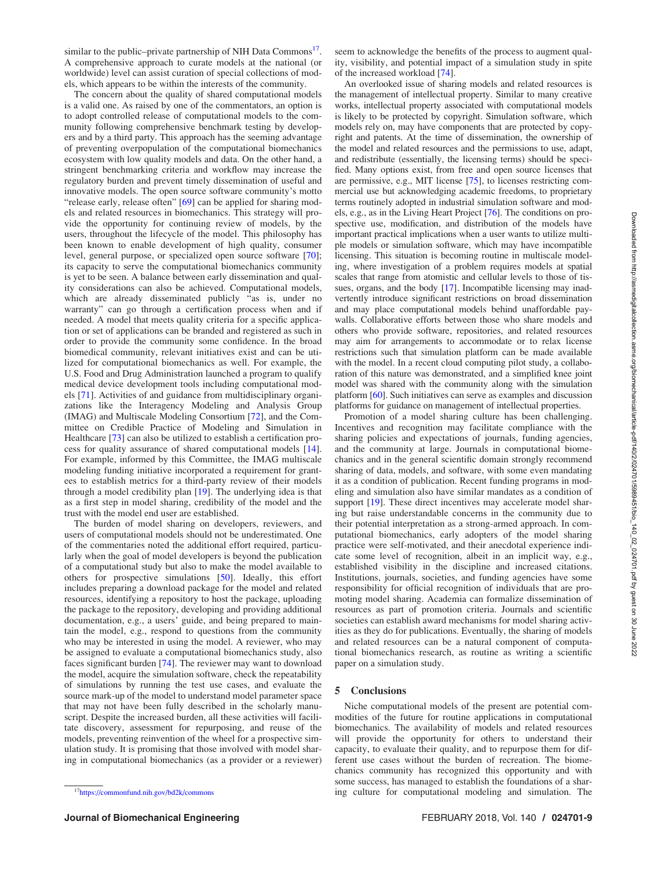similar to the public–private partnership of NIH Data Commons $^{17}$ . A comprehensive approach to curate models at the national (or worldwide) level can assist curation of special collections of models, which appears to be within the interests of the community.

The concern about the quality of shared computational models is a valid one. As raised by one of the commentators, an option is to adopt controlled release of computational models to the community following comprehensive benchmark testing by developers and by a third party. This approach has the seeming advantage of preventing overpopulation of the computational biomechanics ecosystem with low quality models and data. On the other hand, a stringent benchmarking criteria and workflow may increase the regulatory burden and prevent timely dissemination of useful and innovative models. The open source software community's motto "release early, release often" [[69\]](#page-10-0) can be applied for sharing models and related resources in biomechanics. This strategy will provide the opportunity for continuing review of models, by the users, throughout the lifecycle of the model. This philosophy has been known to enable development of high quality, consumer level, general purpose, or specialized open source software [\[70](#page-10-0)]; its capacity to serve the computational biomechanics community is yet to be seen. A balance between early dissemination and quality considerations can also be achieved. Computational models, which are already disseminated publicly "as is, under no warranty" can go through a certification process when and if needed. A model that meets quality criteria for a specific application or set of applications can be branded and registered as such in order to provide the community some confidence. In the broad biomedical community, relevant initiatives exist and can be utilized for computational biomechanics as well. For example, the U.S. Food and Drug Administration launched a program to qualify medical device development tools including computational models [\[71](#page-10-0)]. Activities of and guidance from multidisciplinary organizations like the Interagency Modeling and Analysis Group (IMAG) and Multiscale Modeling Consortium [[72\]](#page-10-0), and the Committee on Credible Practice of Modeling and Simulation in Healthcare [\[73](#page-10-0)] can also be utilized to establish a certification process for quality assurance of shared computational models [[14\]](#page-9-0). For example, informed by this Committee, the IMAG multiscale modeling funding initiative incorporated a requirement for grantees to establish metrics for a third-party review of their models through a model credibility plan [\[19](#page-9-0)]. The underlying idea is that as a first step in model sharing, credibility of the model and the trust with the model end user are established.

The burden of model sharing on developers, reviewers, and users of computational models should not be underestimated. One of the commentaries noted the additional effort required, particularly when the goal of model developers is beyond the publication of a computational study but also to make the model available to others for prospective simulations [\[50](#page-10-0)]. Ideally, this effort includes preparing a download package for the model and related resources, identifying a repository to host the package, uploading the package to the repository, developing and providing additional documentation, e.g., a users' guide, and being prepared to maintain the model, e.g., respond to questions from the community who may be interested in using the model. A reviewer, who may be assigned to evaluate a computational biomechanics study, also faces significant burden [[74\]](#page-10-0). The reviewer may want to download the model, acquire the simulation software, check the repeatability of simulations by running the test use cases, and evaluate the source mark-up of the model to understand model parameter space that may not have been fully described in the scholarly manuscript. Despite the increased burden, all these activities will facilitate discovery, assessment for repurposing, and reuse of the models, preventing reinvention of the wheel for a prospective simulation study. It is promising that those involved with model sharing in computational biomechanics (as a provider or a reviewer)

seem to acknowledge the benefits of the process to augment quality, visibility, and potential impact of a simulation study in spite of the increased workload [[74\]](#page-10-0).

An overlooked issue of sharing models and related resources is the management of intellectual property. Similar to many creative works, intellectual property associated with computational models is likely to be protected by copyright. Simulation software, which models rely on, may have components that are protected by copyright and patents. At the time of dissemination, the ownership of the model and related resources and the permissions to use, adapt, and redistribute (essentially, the licensing terms) should be specified. Many options exist, from free and open source licenses that are permissive, e.g., MIT license [\[75\]](#page-10-0), to licenses restricting commercial use but acknowledging academic freedoms, to proprietary terms routinely adopted in industrial simulation software and models, e.g., as in the Living Heart Project [\[76](#page-10-0)]. The conditions on prospective use, modification, and distribution of the models have important practical implications when a user wants to utilize multiple models or simulation software, which may have incompatible licensing. This situation is becoming routine in multiscale modeling, where investigation of a problem requires models at spatial scales that range from atomistic and cellular levels to those of tissues, organs, and the body [\[17\]](#page-9-0). Incompatible licensing may inadvertently introduce significant restrictions on broad dissemination and may place computational models behind unaffordable paywalls. Collaborative efforts between those who share models and others who provide software, repositories, and related resources may aim for arrangements to accommodate or to relax license restrictions such that simulation platform can be made available with the model. In a recent cloud computing pilot study, a collaboration of this nature was demonstrated, and a simplified knee joint model was shared with the community along with the simulation platform [\[60](#page-10-0)]. Such initiatives can serve as examples and discussion platforms for guidance on management of intellectual properties.

Promotion of a model sharing culture has been challenging. Incentives and recognition may facilitate compliance with the sharing policies and expectations of journals, funding agencies, and the community at large. Journals in computational biomechanics and in the general scientific domain strongly recommend sharing of data, models, and software, with some even mandating it as a condition of publication. Recent funding programs in modeling and simulation also have similar mandates as a condition of support [\[19](#page-9-0)]. These direct incentives may accelerate model sharing but raise understandable concerns in the community due to their potential interpretation as a strong-armed approach. In computational biomechanics, early adopters of the model sharing practice were self-motivated, and their anecdotal experience indicate some level of recognition, albeit in an implicit way, e.g., established visibility in the discipline and increased citations. Institutions, journals, societies, and funding agencies have some responsibility for official recognition of individuals that are promoting model sharing. Academia can formalize dissemination of resources as part of promotion criteria. Journals and scientific societies can establish award mechanisms for model sharing activities as they do for publications. Eventually, the sharing of models and related resources can be a natural component of computational biomechanics research, as routine as writing a scientific paper on a simulation study.

#### 5 Conclusions

Niche computational models of the present are potential commodities of the future for routine applications in computational biomechanics. The availability of models and related resources will provide the opportunity for others to understand their capacity, to evaluate their quality, and to repurpose them for different use cases without the burden of recreation. The biomechanics community has recognized this opportunity and with some success, has managed to establish the foundations of a shar-<sup>17</sup>https://commonfund.nih.gov/bd2k/commons ing culture for computational modeling and simulation. The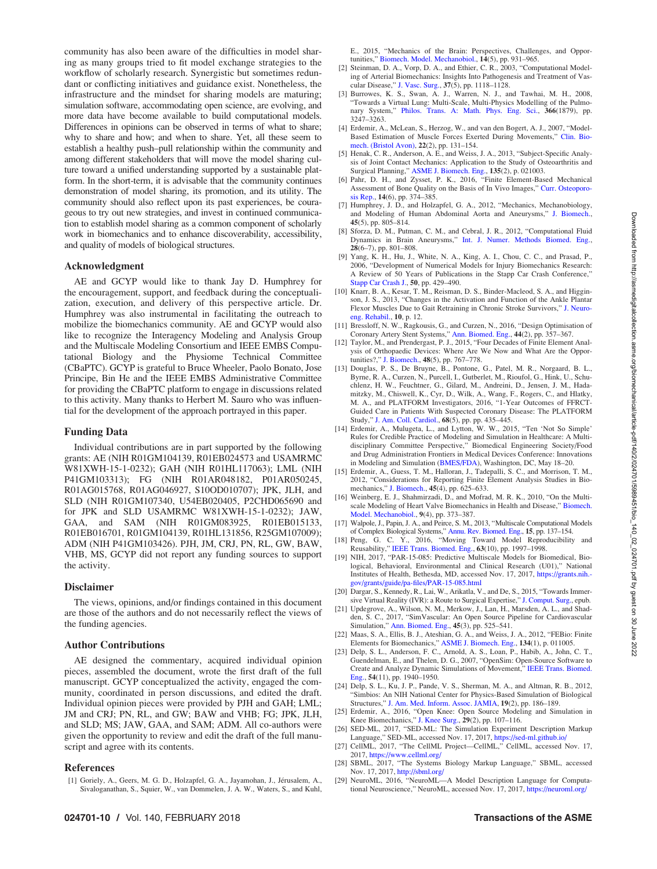<span id="page-9-0"></span>community has also been aware of the difficulties in model sharing as many groups tried to fit model exchange strategies to the workflow of scholarly research. Synergistic but sometimes redundant or conflicting initiatives and guidance exist. Nonetheless, the infrastructure and the mindset for sharing models are maturing; simulation software, accommodating open science, are evolving, and more data have become available to build computational models. Differences in opinions can be observed in terms of what to share; why to share and how; and when to share. Yet, all these seem to establish a healthy push–pull relationship within the community and among different stakeholders that will move the model sharing culture toward a unified understanding supported by a sustainable platform. In the short-term, it is advisable that the community continues demonstration of model sharing, its promotion, and its utility. The community should also reflect upon its past experiences, be courageous to try out new strategies, and invest in continued communication to establish model sharing as a common component of scholarly work in biomechanics and to enhance discoverability, accessibility, and quality of models of biological structures.

#### Acknowledgment

AE and GCYP would like to thank Jay D. Humphrey for the encouragement, support, and feedback during the conceptualization, execution, and delivery of this perspective article. Dr. Humphrey was also instrumental in facilitating the outreach to mobilize the biomechanics community. AE and GCYP would also like to recognize the Interagency Modeling and Analysis Group and the Multiscale Modeling Consortium and IEEE EMBS Computational Biology and the Physiome Technical Committee (CBaPTC). GCYP is grateful to Bruce Wheeler, Paolo Bonato, Jose Principe, Bin He and the IEEE EMBS Administrative Committee for providing the CBaPTC platform to engage in discussions related to this activity. Many thanks to Herbert M. Sauro who was influential for the development of the approach portrayed in this paper.

#### Funding Data

Individual contributions are in part supported by the following grants: AE (NIH R01GM104139, R01EB024573 and USAMRMC W81XWH-15-1-0232); GAH (NIH R01HL117063); LML (NIH P41GM103313); FG (NIH R01AR048182, P01AR050245, R01AG015768, R01AG046927, S10OD010707); JPK, JLH, and SLD (NIH R01GM107340, U54EB020405, P2CHD065690 and for JPK and SLD USAMRMC W81XWH-15-1-0232); JAW, GAA, and SAM (NIH R01GM083925, R01EB015133, R01EB016701, R01GM104139, R01HL131856, R25GM107009); ADM (NIH P41GM103426). PJH, JM, CRJ, PN, RL, GW, BAW, VHB, MS, GCYP did not report any funding sources to support the activity.

#### Disclaimer

The views, opinions, and/or findings contained in this document are those of the authors and do not necessarily reflect the views of the funding agencies.

#### Author Contributions

AE designed the commentary, acquired individual opinion pieces, assembled the document, wrote the first draft of the full manuscript. GCYP conceptualized the activity, engaged the community, coordinated in person discussions, and edited the draft. Individual opinion pieces were provided by PJH and GAH; LML; JM and CRJ; PN, RL, and GW; BAW and VHB; FG; JPK, JLH, and SLD; MS; JAW, GAA, and SAM; ADM. All co-authors were given the opportunity to review and edit the draft of the full manuscript and agree with its contents.

#### References

[1] Goriely, A., Geers, M. G. D., Holzapfel, G. A., Jayamohan, J., Jérusalem, A., Sivaloganathan, S., Squier, W., van Dommelen, J. A. W., Waters, S., and Kuhl, E., 2015, "Mechanics of the Brain: Perspectives, Challenges, and Opportunities," [Biomech. Model. Mechanobiol.,](http://dx.doi.org/10.1007/s10237-015-0662-4) 14(5), pp. 931–965.

- [2] Steinman, D. A., Vorp, D. A., and Ethier, C. R., 2003, "Computational Modeling of Arterial Biomechanics: Insights Into Pathogenesis and Treatment of Vascular Disease," [J. Vasc. Surg.,](http://dx.doi.org/10.1067/mva.2003.122) 37(5), pp. 1118–1128.
- [3] Burrowes, K. S., Swan, A. J., Warren, N. J., and Tawhai, M. H., 2008, "Towards a Virtual Lung: Multi-Scale, Multi-Physics Modelling of the Pulmonary System," [Philos. Trans. A: Math. Phys. Eng. Sci.](http://dx.doi.org/10.1098/rsta.2008.0073), 366(1879), pp. 3247–3263.
- [4] Erdemir, A., McLean, S., Herzog, W., and van den Bogert, A. J., 2007, "Model-Based Estimation of Muscle Forces Exerted During Movements," [Clin. Bio](http://dx.doi.org/10.1016/j.clinbiomech.2006.09.005)[mech. \(Bristol Avon\),](http://dx.doi.org/10.1016/j.clinbiomech.2006.09.005) 22(2), pp. 131–154.
- [5] Henak, C. R., Anderson, A. E., and Weiss, J. A., 2013, "Subject-Specific Analysis of Joint Contact Mechanics: Application to the Study of Osteoarthritis and Surgical Planning," [ASME J. Biomech. Eng.,](http://dx.doi.org/10.1115/1.4023386) 135(2), p. 021003. [6] Pahr, D. H., and Zysset, P. K., 2016, "Finite Element-Based Mechanical
- Assessment of Bone Quality on the Basis of In Vivo Images," [Curr. Osteoporo](http://dx.doi.org/10.1007/s11914-016-0335-y)[sis Rep.,](http://dx.doi.org/10.1007/s11914-016-0335-y) 14(6), pp. 374–385.
- [7] Humphrey, J. D., and Holzapfel, G. A., 2012, "Mechanics, Mechanobiology, and Modeling of Human Abdominal Aorta and Aneurysms," [J. Biomech.](http://dx.doi.org/10.1016/j.jbiomech.2011.11.021), 45(5), pp. 805–814.
- [8] Sforza, D. M., Putman, C. M., and Cebral, J. R., 2012, "Computational Fluid Dynamics in Brain Aneurysms," [Int. J. Numer. Methods Biomed. Eng.](http://dx.doi.org/10.1002/cnm.1481), 28(6–7), pp. 801–808.
- [9] Yang, K. H., Hu, J., White, N. A., King, A. I., Chou, C. C., and Prasad, P., 2006, "Development of Numerical Models for Injury Biomechanics Research: A Review of 50 Years of Publications in the Stapp Car Crash Conference," [Stapp Car Crash J.,](https://www.ncbi.nlm.nih.gov/pubmed/17311173) 50, pp. 429–490.
- [10] Knarr, B. A., Kesar, T. M., Reisman, D. S., Binder-Macleod, S. A., and Higginson, J. S., 2013, "Changes in the Activation and Function of the Ankle Plantar Flexor Muscles Due to Gait Retraining in Chronic Stroke Survivors," [J. Neuro](http://dx.doi.org/10.1186/1743-0003-10-12)[eng. Rehabil.](http://dx.doi.org/10.1186/1743-0003-10-12), 10, p. 12.
- [11] Bressloff, N. W., Ragkousis, G., and Curzen, N., 2016, "Design Optimisation of Coronary Artery Stent Systems," [Ann. Biomed. Eng.,](http://dx.doi.org/10.1007/s10439-015-1373-9) 44(2), pp. 357–367.
- [12] Taylor, M., and Prendergast, P. J., 2015, "Four Decades of Finite Element Analysis of Orthopaedic Devices: Where Are We Now and What Are the Opportunities?," [J. Biomech.,](http://dx.doi.org/10.1016/j.jbiomech.2014.12.019) 48(5), pp. 767–778.
- [13] Douglas, P. S., De Bruyne, B., Pontone, G., Patel, M. R., Norgaard, B. L., Byrne, R. A., Curzen, N., Purcell, I., Gutberlet, M., Rioufol, G., Hink, U., Schuchlenz, H. W., Feuchtner, G., Gilard, M., Andreini, D., Jensen, J. M., Hadamitzky, M., Chiswell, K., Cyr, D., Wilk, A., Wang, F., Rogers, C., and Hlatky, M. A., and PLATFORM Investigators, 2016, "1-Year Outcomes of FFRCT-Guided Care in Patients With Suspected Coronary Disease: The PLATFORM Study," [J. Am. Coll. Cardiol.](https://www.ncbi.nlm.nih.gov/pubmed/27470449), 68(5), pp. pp. 435–445.
- [14] Erdemir, A., Mulugeta, L., and Lytton, W. W., 2015, "Ten 'Not So Simple' Rules for Credible Practice of Modeling and Simulation in Healthcare: A Multidisciplinary Committee Perspective," Biomedical Engineering Society/Food and Drug Administration Frontiers in Medical Devices Conference: Innovations in Modeling and Simulation ([BMES/FDA\)](http://neurosimlab.org/pdfs/fmd_2015.pdf), Washington, DC, May 18–20.
- [15] Erdemir, A., Guess, T. M., Halloran, J., Tadepalli, S. C., and Morrison, T. M., 2012, "Considerations for Reporting Finite Element Analysis Studies in Biomechanics," [J. Biomech.](http://dx.doi.org/10.1016/j.jbiomech.2011.11.038), 45(4), pp. 625–633.
- [16] Weinberg, E. J., Shahmirzadi, D., and Mofrad, M. R. K., 2010, "On the Multi-scale Modeling of Heart Valve Biomechanics in Health and Disease," [Biomech.](http://dx.doi.org/10.1007/s10237-009-0181-2) [Model. Mechanobiol.](http://dx.doi.org/10.1007/s10237-009-0181-2), 9(4), pp. 373–387.
- [17] Walpole, J., Papin, J. A., and Peirce, S. M., 2013, "Multiscale Computational Models
- of Complex Biological Systems," [Annu. Rev. Biomed. Eng.](http://dx.doi.org/10.1146/annurev-bioeng-071811-150104), 15, pp. 137–154. [18] Peng, G. C. Y., 2016, "Moving Toward Model Reproducibility and Reusability," [IEEE Trans. Biomed. Eng.,](http://dx.doi.org/10.1109/TBME.2016.2603418) 63(10), pp. 1997–1998.
- [19] NIH, 2017, "PAR-15-085: Predictive Multiscale Models for Biomedical, Biological, Behavioral, Environmental and Clinical Research (U01)," National Institutes of Health, Bethesda, MD, accessed Nov. 17, 2017, [https://grants.nih.](https://grants.nih.gov/grants/guide/pa-files/PAR-15-085.html) [gov/grants/guide/pa-files/PAR-15-085.html](https://grants.nih.gov/grants/guide/pa-files/PAR-15-085.html)
- [20] Dargar, S., Kennedy, R., Lai, W., Arikatla, V., and De, S., 2015, "Towards Immersive Virtual Reality (IVR): a Route to Surgical Expertise," [J. Comput. Surg.,](https://doi.org/10.1186/s40244-015-0015-8) epub.
- [21] Updegrove, A., Wilson, N. M., Merkow, J., Lan, H., Marsden, A. L., and Shadden, S. C., 2017, "SimVascular: An Open Source Pipeline for Cardiovascular Simulation," [Ann. Biomed. Eng.,](http://dx.doi.org/10.1007/s10439-016-1762-8) 45(3), pp. 525–541.
- [22] Maas, S. A., Ellis, B. J., Ateshian, G. A., and Weiss, J. A., 2012, "FEBio: Finite Elements for Biomechanics," [ASME J. Biomech. Eng.](http://dx.doi.org/10.1115/1.4005694), 134(1), p. 011005.
- [23] Delp, S. L., Anderson, F. C., Arnold, A. S., Loan, P., Habib, A., John, C. T., Guendelman, E., and Thelen, D. G., 2007, "OpenSim: Open-Source Software to Create and Analyze Dynamic Simulations of Movement," [IEEE Trans. Biomed.](http://dx.doi.org/10.1109/TBME.2007.901024) [Eng.,](http://dx.doi.org/10.1109/TBME.2007.901024) 54(11), pp. 1940–1950.
- [24] Delp, S. L., Ku, J. P., Pande, V. S., Sherman, M. A., and Altman, R. B., 2012, "Simbios: An NIH National Center for Physics-Based Simulation of Biological Structures," [J. Am. Med. Inform. Assoc. JAMIA](http://dx.doi.org/10.1136/amiajnl-2011-000488), 19(2), pp. 186–189.
- [25] Erdemir, A., 2016, "Open Knee: Open Source Modeling and Simulation in Knee Biomechanics," [J. Knee Surg.,](https://www.ncbi.nlm.nih.gov/pubmed/26444849) 29(2), pp. 107–116.
- [26] SED-ML, 2017, "SED-ML: The Simulation Experiment Description Markup Language," SED-ML, accessed Nov. 17, 2017, <https://sed-ml.github.io/> [27] CellML, 2017, "The CellML Project—CellML," CellML, accessed Nov. 17,
- 2017, <https://www.cellml.org/> [28] SBML, 2017, "The Systems Biology Markup Language," SBML, accessed
- Nov. 17, 2017, <http://sbml.org/> [29] NeuroML, 2016, "NeuroML—A Model Description Language for Computa-
- tional Neuroscience," NeuroML, accessed Nov. 17, 2017, <https://neuroml.org/>